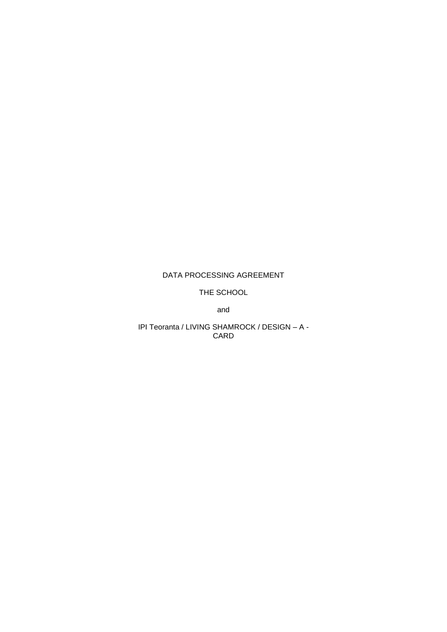# DATA PROCESSING AGREEMENT

THE SCHOOL

and

IPI Teoranta / LIVING SHAMROCK / DESIGN - A -CARD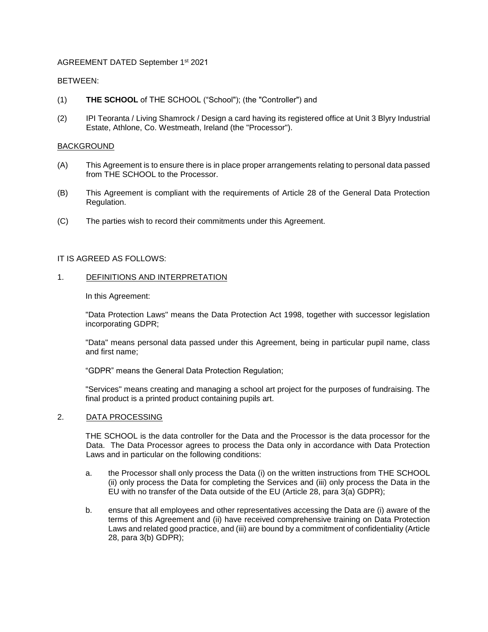# AGREEMENT DATED September 1st 2021

## BETWEEN:

- (1) **THE SCHOOL** of THE SCHOOL ("School"); (the "Controller") and
- (2) IPI Teoranta / Living Shamrock / Design a card having its registered office at Unit 3 Blyry Industrial Estate, Athlone, Co. Westmeath, Ireland (the "Processor").

#### BACKGROUND

- (A) This Agreement is to ensure there is in place proper arrangements relating to personal data passed from THE SCHOOL to the Processor.
- (B) This Agreement is compliant with the requirements of Article 28 of the General Data Protection Regulation.
- (C) The parties wish to record their commitments under this Agreement.

## IT IS AGREED AS FOLLOWS:

#### 1. DEFINITIONS AND INTERPRETATION

In this Agreement:

"Data Protection Laws" means the Data Protection Act 1998, together with successor legislation incorporating GDPR;

"Data" means personal data passed under this Agreement, being in particular pupil name, class and first name;

"GDPR" means the General Data Protection Regulation;

"Services" means creating and managing a school art project for the purposes of fundraising. The final product is a printed product containing pupils art.

#### 2. DATA PROCESSING

THE SCHOOL is the data controller for the Data and the Processor is the data processor for the Data. The Data Processor agrees to process the Data only in accordance with Data Protection Laws and in particular on the following conditions:

- a. the Processor shall only process the Data (i) on the written instructions from THE SCHOOL (ii) only process the Data for completing the Services and (iii) only process the Data in the EU with no transfer of the Data outside of the EU (Article 28, para 3(a) GDPR);
- b. ensure that all employees and other representatives accessing the Data are (i) aware of the terms of this Agreement and (ii) have received comprehensive training on Data Protection Laws and related good practice, and (iii) are bound by a commitment of confidentiality (Article 28, para 3(b) GDPR);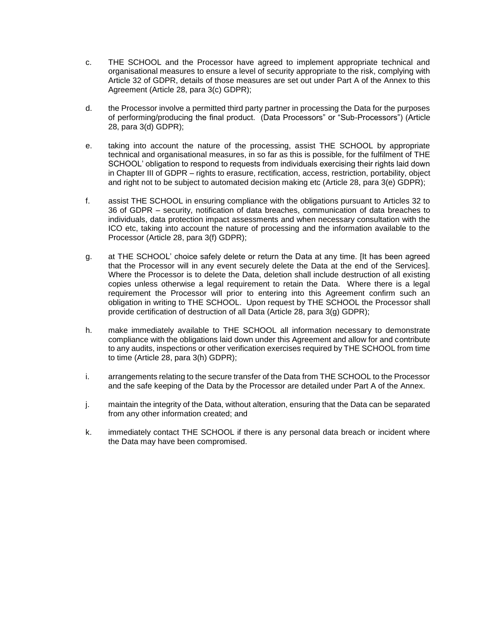- c. THE SCHOOL and the Processor have agreed to implement appropriate technical and organisational measures to ensure a level of security appropriate to the risk, complying with Article 32 of GDPR, details of those measures are set out under Part A of the Annex to this Agreement (Article 28, para 3(c) GDPR);
- d. the Processor involve a permitted third party partner in processing the Data for the purposes of performing/producing the final product. (Data Processors" or "Sub-Processors") (Article 28, para 3(d) GDPR);
- e. taking into account the nature of the processing, assist THE SCHOOL by appropriate technical and organisational measures, in so far as this is possible, for the fulfilment of THE SCHOOL' obligation to respond to requests from individuals exercising their rights laid down in Chapter III of GDPR – rights to erasure, rectification, access, restriction, portability, object and right not to be subject to automated decision making etc (Article 28, para 3(e) GDPR);
- f. assist THE SCHOOL in ensuring compliance with the obligations pursuant to Articles 32 to 36 of GDPR – security, notification of data breaches, communication of data breaches to individuals, data protection impact assessments and when necessary consultation with the ICO etc, taking into account the nature of processing and the information available to the Processor (Article 28, para 3(f) GDPR);
- g. at THE SCHOOL' choice safely delete or return the Data at any time. [It has been agreed that the Processor will in any event securely delete the Data at the end of the Services]. Where the Processor is to delete the Data, deletion shall include destruction of all existing copies unless otherwise a legal requirement to retain the Data. Where there is a legal requirement the Processor will prior to entering into this Agreement confirm such an obligation in writing to THE SCHOOL. Upon request by THE SCHOOL the Processor shall provide certification of destruction of all Data (Article 28, para 3(g) GDPR);
- h. make immediately available to THE SCHOOL all information necessary to demonstrate compliance with the obligations laid down under this Agreement and allow for and contribute to any audits, inspections or other verification exercises required by THE SCHOOL from time to time (Article 28, para 3(h) GDPR);
- i. arrangements relating to the secure transfer of the Data from THE SCHOOL to the Processor and the safe keeping of the Data by the Processor are detailed under Part A of the Annex.
- j. maintain the integrity of the Data, without alteration, ensuring that the Data can be separated from any other information created; and
- k. immediately contact THE SCHOOL if there is any personal data breach or incident where the Data may have been compromised.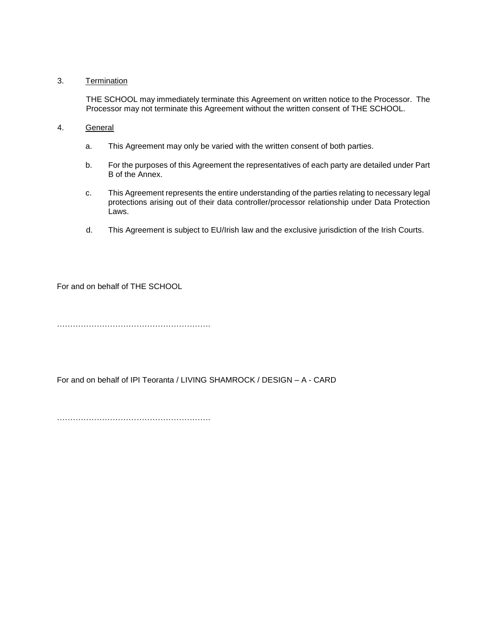## 3. Termination

THE SCHOOL may immediately terminate this Agreement on written notice to the Processor. The Processor may not terminate this Agreement without the written consent of THE SCHOOL.

- 4. General
	- a. This Agreement may only be varied with the written consent of both parties.
	- b. For the purposes of this Agreement the representatives of each party are detailed under Part B of the Annex.
	- c. This Agreement represents the entire understanding of the parties relating to necessary legal protections arising out of their data controller/processor relationship under Data Protection Laws.
	- d. This Agreement is subject to EU/Irish law and the exclusive jurisdiction of the Irish Courts.

For and on behalf of THE SCHOOL

………………………………………………….

For and on behalf of IPI Teoranta / LIVING SHAMROCK / DESIGN – A - CARD

………………………………………………….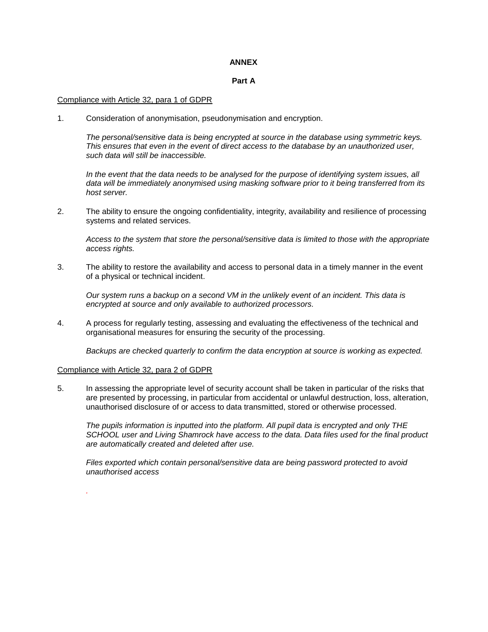#### **ANNEX**

## **Part A**

#### Compliance with Article 32, para 1 of GDPR

1. Consideration of anonymisation, pseudonymisation and encryption.

*The personal/sensitive data is being encrypted at source in the database using symmetric keys. This ensures that even in the event of direct access to the database by an unauthorized user, such data will still be inaccessible.*

*In the event that the data needs to be analysed for the purpose of identifying system issues, all data will be immediately anonymised using masking software prior to it being transferred from its host server.* 

2. The ability to ensure the ongoing confidentiality, integrity, availability and resilience of processing systems and related services.

*Access to the system that store the personal/sensitive data is limited to those with the appropriate access rights.*

3. The ability to restore the availability and access to personal data in a timely manner in the event of a physical or technical incident.

*Our system runs a backup on a second VM in the unlikely event of an incident. This data is encrypted at source and only available to authorized processors.*

4. A process for regularly testing, assessing and evaluating the effectiveness of the technical and organisational measures for ensuring the security of the processing.

*Backups are checked quarterly to confirm the data encryption at source is working as expected.*

#### Compliance with Article 32, para 2 of GDPR

*.*

5. In assessing the appropriate level of security account shall be taken in particular of the risks that are presented by processing, in particular from accidental or unlawful destruction, loss, alteration, unauthorised disclosure of or access to data transmitted, stored or otherwise processed.

*The pupils information is inputted into the platform. All pupil data is encrypted and only THE SCHOOL user and Living Shamrock have access to the data. Data files used for the final product are automatically created and deleted after use.*

*Files exported which contain personal/sensitive data are being password protected to avoid unauthorised access*